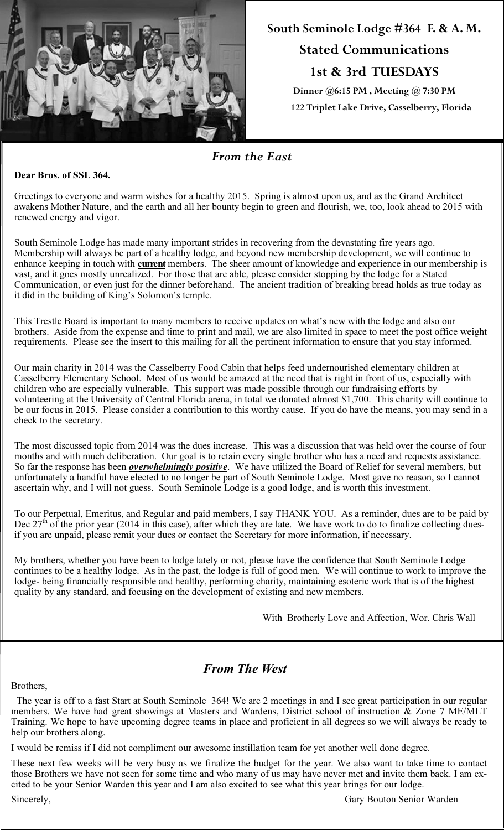

# South Seminole Lodge #364 F. & A. M. Stated Communications 1st & 3rd TUESDAYS

Dinner @6:15 PM , Meeting @ 7:30 PM 122 Triplet Lake Drive, Casselberry, Florida

### From the East

#### Dear Bros. of SSL 364.

Greetings to everyone and warm wishes for a healthy 2015. Spring is almost upon us, and as the Grand Architect awakens Mother Nature, and the earth and all her bounty begin to green and flourish, we, too, look ahead to 2015 with renewed energy and vigor.

South Seminole Lodge has made many important strides in recovering from the devastating fire years ago. Membership will always be part of a healthy lodge, and beyond new membership development, we will continue to enhance keeping in touch with **current** members. The sheer amount of knowledge and experience in our membership is vast, and it goes mostly unrealized. For those that are able, please consider stopping by the lodge for a Stated Communication, or even just for the dinner beforehand. The ancient tradition of breaking bread holds as true today as it did in the building of King's Solomon's temple.

This Trestle Board is important to many members to receive updates on what's new with the lodge and also our brothers. Aside from the expense and time to print and mail, we are also limited in space to meet the post office weight requirements. Please see the insert to this mailing for all the pertinent information to ensure that you stay informed.

Our main charity in 2014 was the Casselberry Food Cabin that helps feed undernourished elementary children at Casselberry Elementary School. Most of us would be amazed at the need that is right in front of us, especially with children who are especially vulnerable. This support was made possible through our fundraising efforts by volunteering at the University of Central Florida arena, in total we donated almost \$1,700. This charity will continue to be our focus in 2015. Please consider a contribution to this worthy cause. If you do have the means, you may send in a check to the secretary.

The most discussed topic from 2014 was the dues increase. This was a discussion that was held over the course of four months and with much deliberation. Our goal is to retain every single brother who has a need and requests assistance. So far the response has been *overwhelmingly positive*. We have utilized the Board of Relief for several members, but unfortunately a handful have elected to no longer be part of South Seminole Lodge. Most gave no reason, so I cannot ascertain why, and I will not guess. South Seminole Lodge is a good lodge, and is worth this investment.

To our Perpetual, Emeritus, and Regular and paid members, I say THANK YOU. As a reminder, dues are to be paid by Dec  $27<sup>th</sup>$  of the prior year (2014 in this case), after which they are late. We have work to do to finalize collecting duesif you are unpaid, please remit your dues or contact the Secretary for more information, if necessary.

My brothers, whether you have been to lodge lately or not, please have the confidence that South Seminole Lodge continues to be a healthy lodge. As in the past, the lodge is full of good men. We will continue to work to improve the lodge- being financially responsible and healthy, performing charity, maintaining esoteric work that is of the highest quality by any standard, and focusing on the development of existing and new members.

With Brotherly Love and Affection, Wor. Chris Wall

#### From The West

#### Brothers,

 The year is off to a fast Start at South Seminole 364! We are 2 meetings in and I see great participation in our regular members. We have had great showings at Masters and Wardens, District school of instruction & Zone 7 ME/MLT Training. We hope to have upcoming degree teams in place and proficient in all degrees so we will always be ready to help our brothers along.

I would be remiss if I did not compliment our awesome instillation team for yet another well done degree.

These next few weeks will be very busy as we finalize the budget for the year. We also want to take time to contact those Brothers we have not seen for some time and who many of us may have never met and invite them back. I am excited to be your Senior Warden this year and I am also excited to see what this year brings for our lodge.

Sincerely, Gary Bouton Senior Warden